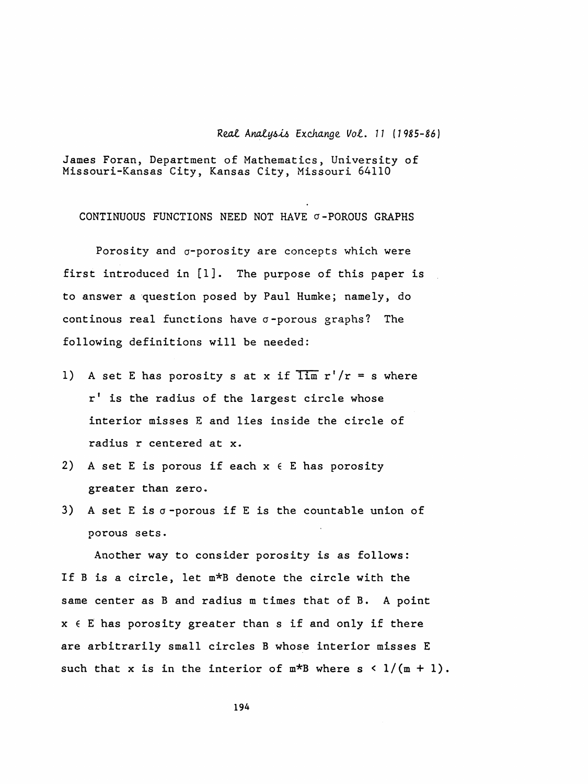Real Analysis Exchange Vol. 11 (1985-86)

 James Foran, Department of Mathematics, University of Missouri-Kansas City, Kansas City, Missouri 64110

CONTINUOUS FUNCTIONS NEED NOT HAVE  $\sigma$ -POROUS GRAPHS

Porosity and  $\sigma$ -porosity are concepts which were first introduced in [1]. The purpose of this paper is to answer a question posed by Paul Humke; namely, do continous real functions have  $\sigma$ -porous graphs? The following definitions will be needed:

- 1) A set E has porosity s at x if  $\overline{\lim} r'/r = s$  where r' is the radius of the largest circle whose interior misses E and lies inside the circle of radius r centered at x.
- 2) A set E is porous if each  $x \in E$  has porosity greater than zero.
- 3) A set E is  $\sigma$ -porous if E is the countable union of porous sets.

 Another way to consider porosity is as follows: If B is a circle, let m\*B denote the circle with the same center as B and radius m times that of B. A point  $x \in E$  has porosity greater than s if and only if there are arbitrarily small circles B whose interior misses E such that x is in the interior of  $m*B$  where  $s < 1/(m + 1)$ .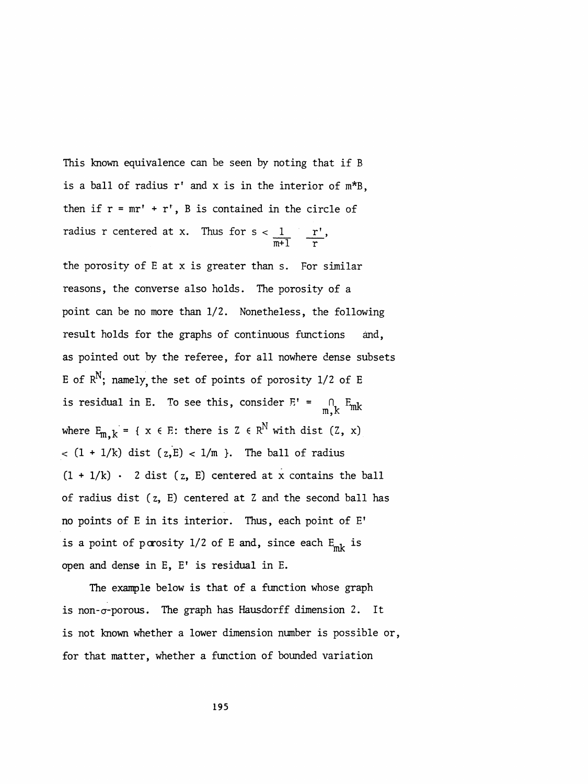This known equivalence can he seen by noting that if B is a ball of radius r' and x is in the interior of m\*B, then if  $r = mr' + r'$ , B is contained in the circle of radius r centered at x. Thus for  $s < \frac{1}{\sqrt{2}}$   $\frac{r^2}{r^2}$ ,  $\overline{m+1}$  r

 the porosity of E at x is greater than s. For similar reasons, the converse also holds. The porosity of a point can be no more than 1/2. Nonetheless, the following result holds for the graphs of continuous functions and, as pointed out by the referee, for all nowhere dense subsets E of  $R^N$ ; namely the set of points of porosity 1/2 of E is residual in E. To see this, consider  $E' = \bigcap_{m,k} E_{mk}$ where  $E_{m,k} = \{ x \in E: \text{ there is } Z \in R^N \text{ with dist } (Z, x) \}$  $<$  (1 + 1/k) dist (z,E) < 1/m }. The ball of radius  $(1 + 1/k)$  · 2 dist (z, E) centered at x contains the ball of radius dist ( z, E) centered at Z and the second ball has no points of E in its interior. Thus, each point of E' is a point of porosity  $1/2$  of E and, since each  $E_{mk}$  is open and dense in E, E' is residual in E.

 The example below is that of a function whose graph is non- $\sigma$ -porous. The graph has Hausdorff dimension 2. It is not known whether a lower dimension number is possible or, for that matter, whether a function of bounded variation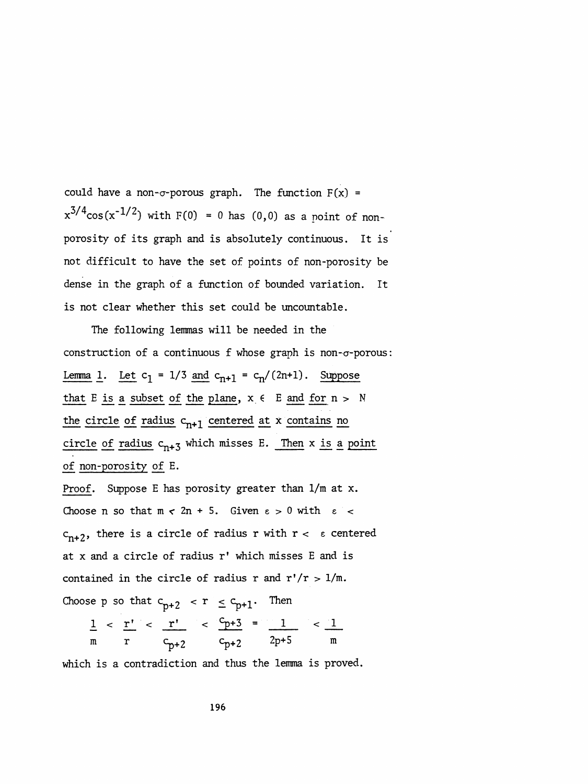could have a non- $\sigma$ -porous graph. The function  $F(x) =$  $x^{3/4}$ cos( $x^{-1/2}$ ) with F(0) = 0 has (0,0) as a point of non porosity of its graph and is absolutely continuous. It is not difficult to have the set of points of non-porosity be dense in the graph of a function of bounded variation. It is not clear whether this set could be uncountable.

 The following lemmas will be needed in the construction of a continuous  $f$  whose graph is non- $\sigma$ -porous: Lemma 1. Let  $c_1 = 1/3$  and  $c_{n+1} = c_n/(2n+1)$ . Suppose that E is a subset of the plane,  $x \in E$  and for  $n > N$ the circle of radius  $c_{n+1}$  centered at x contains no circle of radius  $c_{n+3}$  which misses E. Then x is a point of non-porosity of E.

 Proof. Suppose E has porosity greater than 1/m at x. Choose n so that  $m < 2n + 5$ . Given  $\varepsilon > 0$  with  $\varepsilon <$  $c_{n+2}$ , there is a circle of radius r with  $r < \varepsilon$  centered at x and a circle of radius r' which misses E and is contained in the circle of radius r and  $r'/r > 1/m$ .

Choose p so that  $c_{p+2}$   $\leq r \leq c_{p+1}$ . Then

$$
\frac{1}{m} < \frac{r'}{r} < \frac{r'}{c_{p+2}} < \frac{c_{p+3}}{c_{p+2}} = \frac{1}{2p+5} < \frac{1}{m}
$$

which is a contradiction and thus the lemma is proved.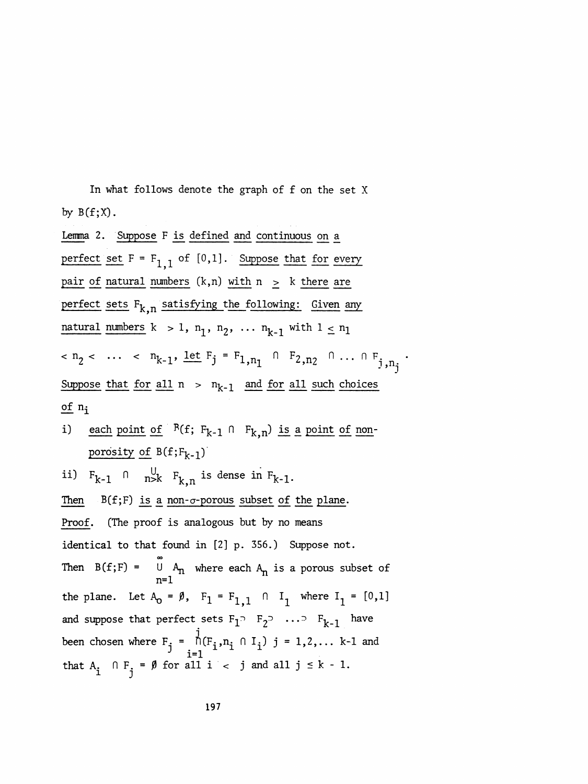In what follows denote the graph of f on the set X by  $B(f;X)$ .

Lemma 2. Suppose F is defined and continuous on a perfect set  $F = F_{1,1}$  of [0,1]. Suppose that for every pair of natural numbers  $(k,n)$  with  $n > k$  there are perfect sets  $F_{k,n}$  satisfying the following: Given any natural numbers  $k > 1$ ,  $n_1$ ,  $n_2$ , ...  $n_{k-1}$  with  $1 \le n_1$  $n_2 < ... < n_{k-1}, \underline{\text{let}} F_j = F_{1,n_1} \cap F_{2,n_2} \cap ... \cap F_{j,n_j}.$ Suppose that for all  $n > n_{k-1}$  and for all such choices of  $n_i$ 

each point of  $R(f; F_{k-1} \cap F_{k,n})$  is a point of non- $\mathbf{i}$ porosity of  $B(f;F_{k-1})$ 

ii)  $F_{k-1}$   $\cap$   $\bigcup_{n=k}^{U}$   $F_{k,n}$  is dense in  $F_{k-1}$ .  $B(f;F)$  is a non- $\sigma$ -porous subset of the plane. Then (The proof is analogous but by no means Proof. identical to that found in [2] p. 356.) Suppose not. Then  $B(f;F) = \bigcup_{n=1}^{\infty} A_n$  where each  $A_n$  is a porous subset of the plane. Let  $A_0 = \emptyset$ ,  $F_1 = F_{1,1} \cap I_1$  where  $I_1 = [0,1]$ and suppose that perfect sets  $F_1$ <sup>2</sup>  $F_2$ <sup>2</sup>  $\cdots$ <sup>2</sup>  $F_{k-1}$  have been chosen where  $F_j = \bigcap_{i=1}^{J} (F_i, n_i \cap I_i)$  j = 1,2,... k-1 and that  $A_i$   $\cap F_i = \emptyset$  for all  $i < j$  and all  $j \le k - 1$ .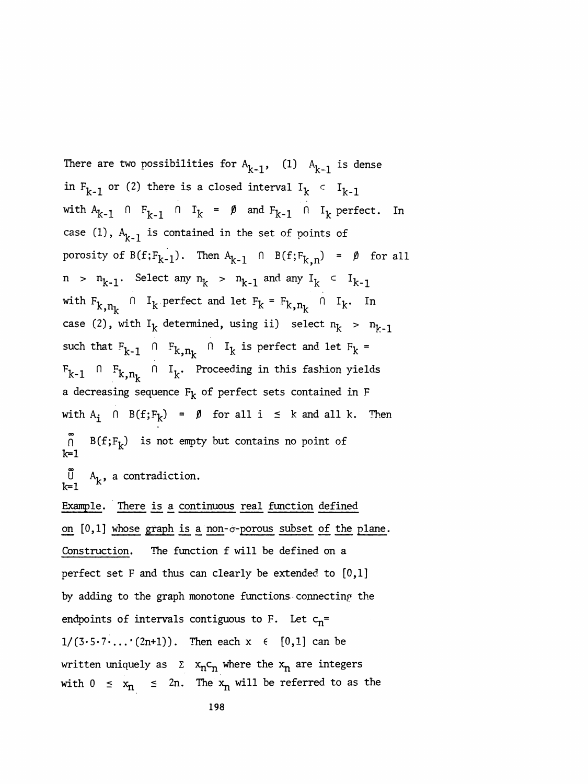There are two possibilities for  $A_{k-1}$ , (1)  $A_{k-1}$  is dense in  $F_{k-1}$  or (2) there is a closed interval  $I_k$  c  $I_{k-1}$ with  $A_{k-1}$   $\cap$   $F_{k-1}$   $\cap$   $I_k$  =  $\emptyset$  and  $F_{k-1}$   $\cap$   $I_k$  perfect. In case (1),  $A_{k-1}$  is contained in the set of points of porosity of  $B(f;F_{k-1})$ . Then  $A_{k-1}$   $\cap$   $B(f;F_{k,n}) = \emptyset$  for all  $n > n_{k-1}$ . Select any  $n_k > n_{k-1}$  and any  $I_k \subset I_{k-1}$ with  $F_{k,n_k}$  n  $I_k$  perfect and let  $F_k = F_{k,n_k}$  n  $I_k$ . In case (2), with  $I_k$  determined, using ii) select  $n_k$  >  $n_{k-1}$ such that  $F_{k-1}$  fin  $F_{k,n_k}$  fin  $I_k$  is perfect and let  $F_k$  =  $F_{k-1}$  n  $F_{k, n_k}$  n I<sub>k</sub>. Proceeding in this fashion yields a decreasing sequence  $F_k$  of perfect sets contained in F with  $A_i$   $\cap$  B(f;F<sub>k</sub>) =  $\emptyset$  for all i  $\leq$  k and all k. Then oo  $B(f;F_k)$  is not empty but contains no point of k=l  $U$   $A_k$ , a contradiction.  $k=1$  Example. There is a continuous real function defined on  $[0,1]$  whose graph is a non- $\sigma$ -porous subset of the plane. Construction. The function f will be defined on a perfect set F and thus can clearly be extended to [0,1] by adding to the graph monotone functions connecting the endpoints of intervals contiguous to F. Let  $c_n$ =  $1/(3 \cdot 5 \cdot 7 \cdot ... \cdot (2n+1))$ . Then each  $x \in [0,1]$  can be written uniquely as  $\Sigma$  x<sub>n</sub>c<sub>n</sub> where the x<sub>n</sub> are integers with  $0 \le x_n \le 2n$ . The  $x_n$  will be referred to as the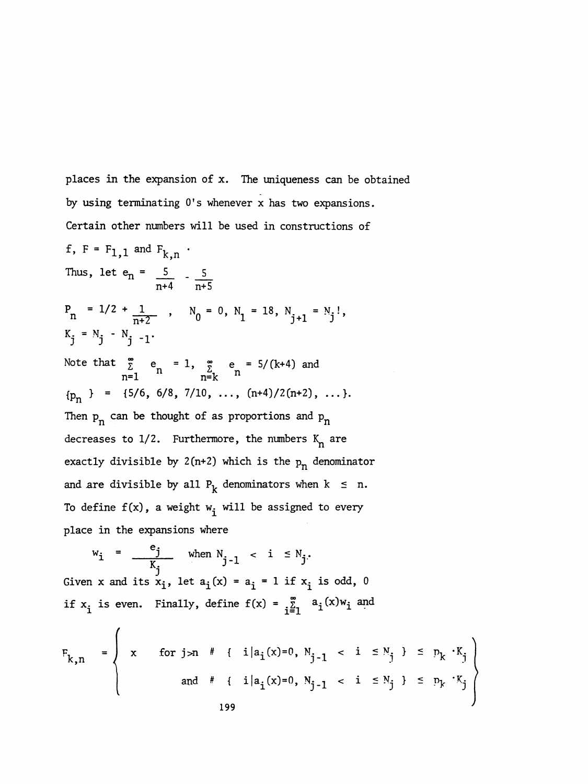places in the expansion of x. The uniqueness can be obtained by using terminating O's whenever x has two expansions. Certain other numbers will be used in constructions of

f,  $F = F_{1,1}$  and  $F_{k,n}$ . Thus, let  $e_n = \frac{5}{2}$  -  $\frac{5}{2}$  $n+4$   $\overline{n+5}$  $P_n = 1/2 + \frac{1}{n+2}$ ,  $N_0 = 0$ ,  $N_1 = 18$ ,  $N_{j+1} = N_j!$ ,  $K_{i} = N_{j} - N_{j} - 1$ . Note that  $\sum_{n=1}^{\infty} e_n = 1$ ,  $\sum_{n=k}^{\infty} e_n = 5/(k+4)$  and  ${p_n}$  = {5/6, 6/8, 7/10, ...,  $(n+4)/2(n+2)$ , ...}. Then  $p_n$  can be thought of as proportions and  $p_n$ <br>decreases to 1/2. Furthermore, the numbers  $K_n$  are<br> $\cdots$  are  $\cdots$ Then  $p_n$  can be thought of as proportions and  $p_n$ <br>decreases to 1/2. Furthermore, the numbers  $K_n$  are<br>exactly divisible by 2(n+2) which is the  $p_n$  denominator<br>and are divisible by all  $P_k$  denominators when  $k \le n$ . and are divisible by all  $P_k$  denominators when  $k \le n$ . To define  $f(x)$ , a weight  $w_i$  will be assigned to every place in the expansions where

 $w_i = \frac{e_j}{K_j}$  when  $N_{j-1} < i \le N_j$ . Given x and its  $x_i$ , let  $a_i(x) = a_i = 1$  if  $x_i$  is odd, 0 if  $x_i$  is even. Finally, define  $f(x) = \sum_{i=1}^{\infty} a_i(x)w_i$  and

/

$$
F_{k,n} = \begin{cases} x & \text{for } j > n \end{cases} \n# \{ i | a_i(x) = 0, N_{j-1} < i \leq N_j \} \leq p_k \cdot K_j
$$
  
and 
$$
\{ i | a_i(x) = 0, N_{j-1} < i \leq N_j \} \leq p_k \cdot K_j
$$
  
199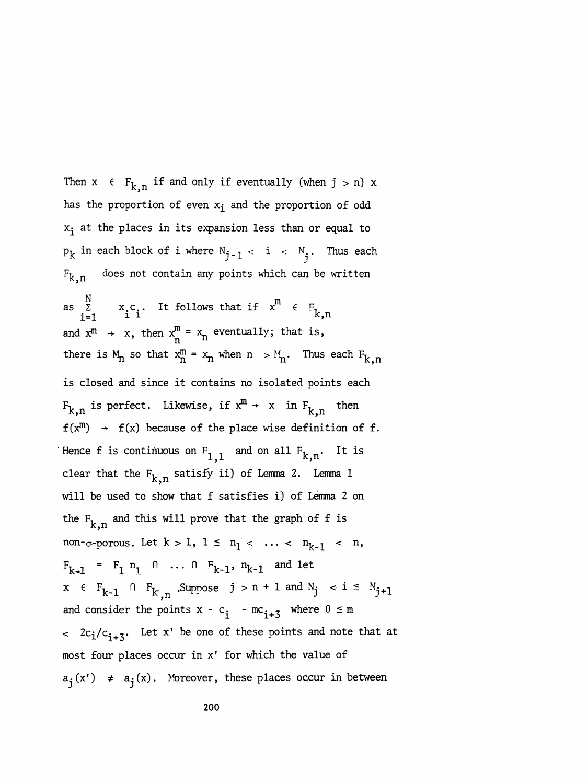Then  $x \in F_{k,n}$  if and only if eventually (when  $j > n$ ) x has the proportion of even  $x_i$  and the proportion of odd  $x_i$  at the places in its expansion less than or equal to  $p_k$  in each block of i where  $N_{j-1} < i < N_i$ . Thus each  $F_{k,n}$  does not contain any points which can be written as  $\ddot{\Sigma}$  x.c.. It follows that if  $x^{m}$   $\epsilon$  F<sub>1</sub> N<br>  $\Sigma$  x<sub>c</sub>. It follows that if  $x^m \in F_{k,n}$ <br>  $\Xi$  i i m each block of i where  $N_{j-1} < i$ <br>does not contain any points which<br> $N = N$ <br> $X_{i}C_{i}$ . It follows that if  $x^{m}$ <br> $X_{i} = 1$ and  $x^m \rightarrow x$ , then  $x_n^m = x_n$  eventually; that is, there is  $M_n$  so that  $x_n^m = x_n$  when  $n > M_n$ . Thus each  $F_{k,n}$  is closed and since it contains no isolated points each  $F_{k,n}$  is perfect. Likewise, if  $x^m \rightarrow x$  in  $F_{k,n}$  then  $f(x^{m}) \rightarrow f(x)$  because of the place wise definition of f. Hence f is continuous on  $F_{1,1}$  and on all  $F_{k,n}$ . It is clear that the  $F_{k,n}$  satisfy ii) of Lemma 2. Lemma 1 will be used to show that f satisfies i) of Lemma 2 on the  $F_{k,n}$  and this will prove that the graph of f is non-<sub> $\sigma$ -porous. Let  $k > 1$ ,  $1 \le n_1 < \ldots < n_{k-1} < n$ ,</sub>  $F_{k-1} = F_1 n_1 \cap ... \cap F_{k-1}, n_{k-1}$  and let  $x \in F_{k-1} \cap F_{k,n}$ . Suppose  $j > n + 1$  and  $N_j < i \le N_{j+1}$ and consider the points  $x - c_i$  -  $mc_{i+3}$  where  $0 \le m$  $\langle 2c_i/c_{i+3}$ . Let x' be one of these points and note that at most four places occur in x' for which the value of  $a_j(x') \neq a_j(x)$ . Moreover, these places occur in between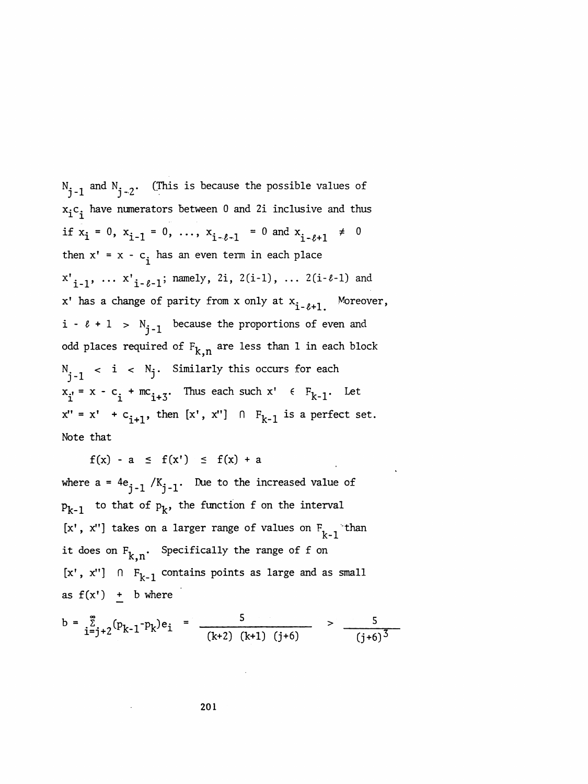$N_{j-1}$  and  $N_{j-2}$ . (This is because the possible values of  $x_i c_i$  have numerators between 0 and 2i inclusive and thus if  $x_i = 0$ ,  $x_{i-1} = 0$ , ...,  $x_{i-\ell-1} = 0$  and  $x_{i-\ell+1} \neq 0$ then  $x' = x - c_i$  has an even term in each place  $x'_{i-1}$ , ...  $x'_{i-\ell-1}$ ; namely, 2i, 2(i-1), ... 2(i- $\ell$ -1) and x' has a change of parity from x only at  $x_{i-\ell+1}$ . Moreover,  $i - \ell + 1 > N_{i-1}$  because the proportions of even and odd places required of  $F_{k,n}$  are less than 1 in each block  $N_i$  < i <  $N_j$ . Similarly this occurs for each  $x_{i} = x - c_{i} + mc_{i+3}$ . Thus each such  $x' \in F_{k-1}$ . Let  $x'' = x' + c_{i+1}$ , then  $[x', x''] \cap F_{k-1}$  is a perfect set. Note that

 $f(x) - a \le f(x') \le f(x) + a$ 

where  $a = 4e_{i-1} / K_{i-1}$ . Due to the increased value of  $p_{k-1}$  to that of  $p_k$ , the function f on the interval [x', x''] takes on a larger range of values on  $F_{k-1}$  than it does on  $F_{k,n}$ . Specifically the range of f on [x', x'']  $\cap$  F<sub>k-1</sub> contains points as large and as small as  $f(x') + b$  where

$$
b = \sum_{i=j+2}^{\infty} (p_{k-1} - p_k) e_i = \frac{5}{(k+2) (k+1) (j+6)} > \frac{5}{(j+6)^3}
$$

201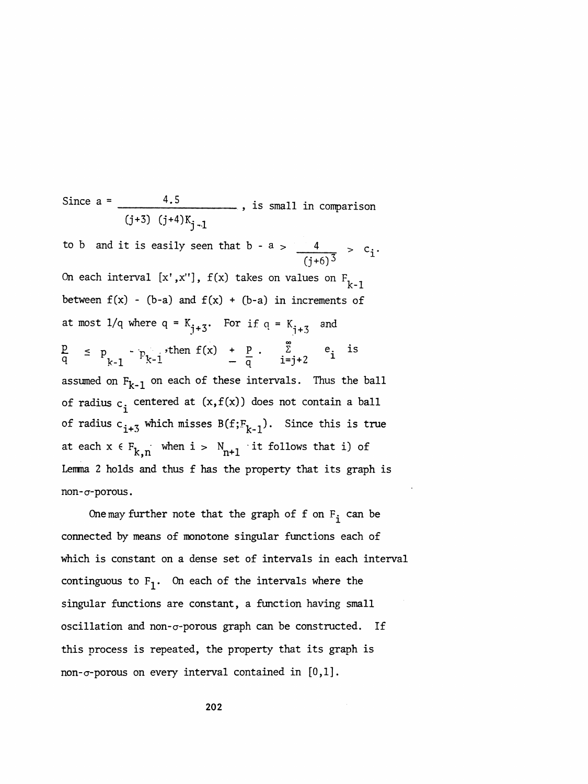Since  $a =$   $\overline{\phantom{a}}$  $0 + 3$ )  $0 + 7k$ j-1 to b and it is easily seen that b - a  $>$   $\frac{4}{\sqrt{2}}$   $>$   $\text{c_i}.$  $\sqrt{(j+6)^3}$  r On each interval  $[x',x'']$ ,  $f(x)$  takes on values on  $F$ <sub>k-1</sub> between  $f(x) - (b-a)$  and  $f(x) + (b-a)$  in increments of at most  $1/q$  where  $q = K_{j+3}$ . For if  $q = K_{j+3}$  and  $\frac{p}{q}$  =  $p_{k-1}$  -  $p_{k-1}$ , then  $f(x)$  +  $\frac{p}{q}$  .  $\sum_{i=j+2}^{\infty}$  e<sub>i</sub> is assumed on  $F_{k-1}$  on each of these intervals. Thus the ball of radius  $c_i$  centered at  $(x,f(x))$  does not contain a ball of radius  $c_{i+5}$  which misses  $B(f;F_{k-1})$ . Since this is true at each  $x \in F_{k,n}$  when  $i > N_{n+1}$  it follows that i) of Lemma 2 holds and thus f has the property that its graph is non-cr-porous.

One may further note that the graph of f on  $F^{\text{}}_{\text{i}}$  can be connected by means of monotone singular functions each of which is constant on a dense set of intervals in each interval continguous to  $F_1$ . On each of the intervals where the singular functions are constant, a function having small oscillation and non- $\sigma$ -porous graph can be constructed. If this process is repeated, the property that its graph is non- $\sigma$ -porous on every interval contained in  $[0,1]$ .